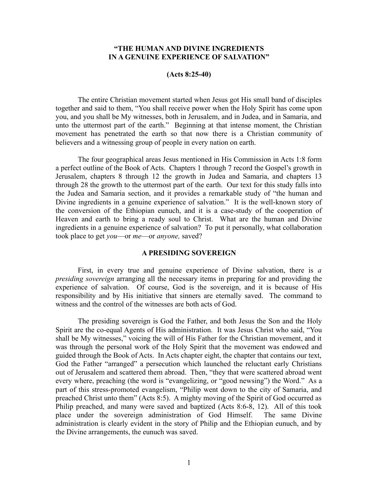# **"THE HUMAN AND DIVINE INGREDIENTS IN A GENUINE EXPERIENCE OF SALVATION"**

#### **(Acts 8:25-40)**

The entire Christian movement started when Jesus got His small band of disciples together and said to them, "You shall receive power when the Holy Spirit has come upon you, and you shall be My witnesses, both in Jerusalem, and in Judea, and in Samaria, and unto the uttermost part of the earth." Beginning at that intense moment, the Christian movement has penetrated the earth so that now there is a Christian community of believers and a witnessing group of people in every nation on earth.

The four geographical areas Jesus mentioned in His Commission in Acts 1:8 form a perfect outline of the Book of Acts. Chapters 1 through 7 record the Gospel's growth in Jerusalem, chapters 8 through 12 the growth in Judea and Samaria, and chapters 13 through 28 the growth to the uttermost part of the earth. Our text for this study falls into the Judea and Samaria section, and it provides a remarkable study of "the human and Divine ingredients in a genuine experience of salvation." It is the well-known story of the conversion of the Ethiopian eunuch, and it is a case-study of the cooperation of Heaven and earth to bring a ready soul to Christ. What are the human and Divine ingredients in a genuine experience of salvation? To put it personally, what collaboration took place to get *you*—or *me*—or *anyone,* saved?

### **A PRESIDING SOVEREIGN**

First, in every true and genuine experience of Divine salvation, there is *a presiding sovereign* arranging all the necessary items in preparing for and providing the experience of salvation. Of course, God is the sovereign, and it is because of His responsibility and by His initiative that sinners are eternally saved. The command to witness and the control of the witnesses are both acts of God.

The presiding sovereign is God the Father, and both Jesus the Son and the Holy Spirit are the co-equal Agents of His administration. It was Jesus Christ who said, "You shall be My witnesses," voicing the will of His Father for the Christian movement, and it was through the personal work of the Holy Spirit that the movement was endowed and guided through the Book of Acts. In Acts chapter eight, the chapter that contains our text, God the Father "arranged" a persecution which launched the reluctant early Christians out of Jerusalem and scattered them abroad. Then, "they that were scattered abroad went every where, preaching (the word is "evangelizing, or "good newsing") the Word." As a part of this stress-promoted evangelism, "Philip went down to the city of Samaria, and preached Christ unto them" (Acts 8:5). A mighty moving of the Spirit of God occurred as Philip preached, and many were saved and baptized (Acts 8:6-8, 12). All of this took place under the sovereign administration of God Himself. The same Divine administration is clearly evident in the story of Philip and the Ethiopian eunuch, and by the Divine arrangements, the eunuch was saved.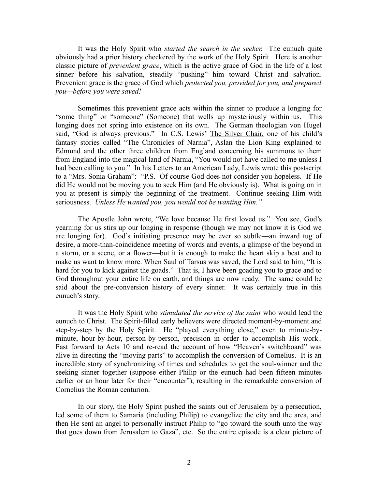It was the Holy Spirit who *started the search in the seeker.* The eunuch quite obviously had a prior history checkered by the work of the Holy Spirit. Here is another classic picture of *prevenient grace*, which is the active grace of God in the life of a lost sinner before his salvation, steadily "pushing" him toward Christ and salvation. Prevenient grace is the grace of God which *protected you, provided for you, and prepared you—before you were saved!* 

Sometimes this prevenient grace acts within the sinner to produce a longing for "some thing" or "someone" (Someone) that wells up mysteriously within us. This longing does not spring into existence on its own. The German theologian von Hugel said, "God is always previous." In C.S. Lewis' The Silver Chair, one of his child's fantasy stories called "The Chronicles of Narnia", Aslan the Lion King explained to Edmund and the other three children from England concerning his summons to them from England into the magical land of Narnia, "You would not have called to me unless I had been calling to you." In his Letters to an American Lady, Lewis wrote this postscript to a "Mrs. Sonia Graham": "P.S. Of course God does not consider you hopeless. If He did He would not be moving you to seek Him (and He obviously is). What is going on in you at present is simply the beginning of the treatment. Continue seeking Him with seriousness. *Unless He wanted you, you would not be wanting Him."*

The Apostle John wrote, "We love because He first loved us." You see, God's yearning for us stirs up our longing in response (though we may not know it is God we are longing for). God's initiating presence may be ever so subtle—an inward tug of desire, a more-than-coincidence meeting of words and events, a glimpse of the beyond in a storm, or a scene, or a flower—but it is enough to make the heart skip a beat and to make us want to know more. When Saul of Tarsus was saved, the Lord said to him, "It is hard for you to kick against the goads." That is, I have been goading you to grace and to God throughout your entire life on earth, and things are now ready. The same could be said about the pre-conversion history of every sinner. It was certainly true in this eunuch's story.

It was the Holy Spirit who *stimulated the service of the saint* who would lead the eunuch to Christ. The Spirit-filled early believers were directed moment-by-moment and step-by-step by the Holy Spirit. He "played everything close," even to minute-byminute, hour-by-hour, person-by-person, precision in order to accomplish His work.. Fast forward to Acts 10 and re-read the account of how "Heaven's switchboard" was alive in directing the "moving parts" to accomplish the conversion of Cornelius. It is an incredible story of synchronizing of times and schedules to get the soul-winner and the seeking sinner together (suppose either Philip or the eunuch had been fifteen minutes earlier or an hour later for their "encounter"), resulting in the remarkable conversion of Cornelius the Roman centurion.

In our story, the Holy Spirit pushed the saints out of Jerusalem by a persecution, led some of them to Samaria (including Philip) to evangelize the city and the area, and then He sent an angel to personally instruct Philip to "go toward the south unto the way that goes down from Jerusalem to Gaza", etc. So the entire episode is a clear picture of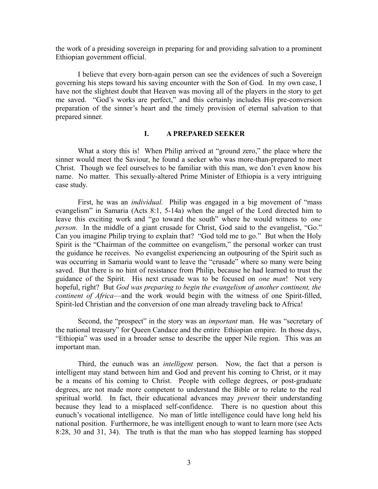the work of a presiding sovereign in preparing for and providing salvation to a prominent Ethiopian government official.

I believe that every born-again person can see the evidences of such a Sovereign governing his steps toward his saving encounter with the Son of God. In my own case, I have not the slightest doubt that Heaven was moving all of the players in the story to get me saved. "God's works are perfect," and this certainly includes His pre-conversion preparation of the sinner's heart and the timely provision of eternal salvation to that prepared sinner.

## **I. A PREPARED SEEKER**

What a story this is! When Philip arrived at "ground zero," the place where the sinner would meet the Saviour, he found a seeker who was more-than-prepared to meet Christ. Though we feel ourselves to be familiar with this man, we don't even know his name. No matter. This sexually-altered Prime Minister of Ethiopia is a very intriguing case study.

First, he was an *individual.* Philip was engaged in a big movement of "mass evangelism" in Samaria (Acts 8:1, 5-14a) when the angel of the Lord directed him to leave this exciting work and "go toward the south" where he would witness to *one person*. In the middle of a giant crusade for Christ, God said to the evangelist, "Go." Can you imagine Philip trying to explain that? "God told me to go." But when the Holy Spirit is the "Chairman of the committee on evangelism," the personal worker can trust the guidance he receives. No evangelist experiencing an outpouring of the Spirit such as was occurring in Samaria would want to leave the "crusade" where so many were being saved. But there is no hint of resistance from Philip, because he had learned to trust the guidance of the Spirit. His next crusade was to be focused on *one man*! Not very hopeful, right? But *God was preparing to begin the evangelism of another continent, the continent of Africa*—and the work would begin with the witness of one Spirit-filled, Spirit-led Christian and the conversion of one man already traveling back to Africa!

Second, the "prospect" in the story was an *important* man. He was "secretary of the national treasury" for Queen Candace and the entire Ethiopian empire. In those days, "Ethiopia" was used in a broader sense to describe the upper Nile region. This was an important man.

Third, the eunuch was an *intelligent* person. Now, the fact that a person is intelligent may stand between him and God and prevent his coming to Christ, or it may be a means of his coming to Christ. People with college degrees, or post-graduate degrees, are not made more competent to understand the Bible or to relate to the real spiritual world. In fact, their educational advances may *prevent* their understanding because they lead to a misplaced self-confidence. There is no question about this eunuch's vocational intelligence. No man of little intelligence could have long held his national position. Furthermore, he was intelligent enough to want to learn more (see Acts 8:28, 30 and 31, 34). The truth is that the man who has stopped learning has stopped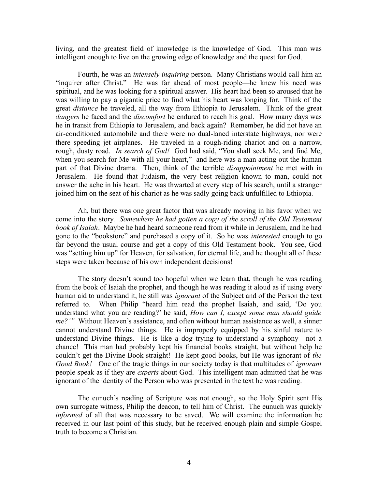living, and the greatest field of knowledge is the knowledge of God. This man was intelligent enough to live on the growing edge of knowledge and the quest for God.

Fourth, he was an *intensely inquiring* person. Many Christians would call him an "inquirer after Christ." He was far ahead of most people—he knew his need was spiritual, and he was looking for a spiritual answer. His heart had been so aroused that he was willing to pay a gigantic price to find what his heart was longing for. Think of the great *distance* he traveled, all the way from Ethiopia to Jerusalem. Think of the great *dangers* he faced and the *discomfort* he endured to reach his goal. How many days was he in transit from Ethiopia to Jerusalem, and back again? Remember, he did not have an air-conditioned automobile and there were no dual-laned interstate highways, nor were there speeding jet airplanes. He traveled in a rough-riding chariot and on a narrow, rough, dusty road. *In search of God!* God had said, "You shall seek Me, and find Me, when you search for Me with all your heart," and here was a man acting out the human part of that Divine drama. Then, think of the terrible *disappointment* he met with in Jerusalem. He found that Judaism, the very best religion known to man, could not answer the ache in his heart. He was thwarted at every step of his search, until a stranger joined him on the seat of his chariot as he was sadly going back unfulfilled to Ethiopia.

Ah, but there was one great factor that was already moving in his favor when we come into the story. *Somewhere he had gotten a copy of the scroll of the Old Testament book of Isaiah*. Maybe he had heard someone read from it while in Jerusalem, and he had gone to the "bookstore" and purchased a copy of it. So he was *interested* enough to go far beyond the usual course and get a copy of this Old Testament book. You see, God was "setting him up" for Heaven, for salvation, for eternal life, and he thought all of these steps were taken because of his own independent decisions!

The story doesn't sound too hopeful when we learn that, though he was reading from the book of Isaiah the prophet, and though he was reading it aloud as if using every human aid to understand it, he still was *ignorant* of the Subject and of the Person the text referred to. When Philip "heard him read the prophet Isaiah, and said, 'Do you understand what you are reading?' he said, *How can I, except some man should guide me?'"* Without Heaven's assistance, and often without human assistance as well, a sinner cannot understand Divine things. He is improperly equipped by his sinful nature to understand Divine things. He is like a dog trying to understand a symphony—not a chance! This man had probably kept his financial books straight, but without help he couldn't get the Divine Book straight! He kept good books, but He was ignorant of *the Good Book!* One of the tragic things in our society today is that multitudes of *ignorant* people speak as if they are *experts* about God. This intelligent man admitted that he was ignorant of the identity of the Person who was presented in the text he was reading.

The eunuch's reading of Scripture was not enough, so the Holy Spirit sent His own surrogate witness, Philip the deacon, to tell him of Christ. The eunuch was quickly *informed* of all that was necessary to be saved. We will examine the information he received in our last point of this study, but he received enough plain and simple Gospel truth to become a Christian.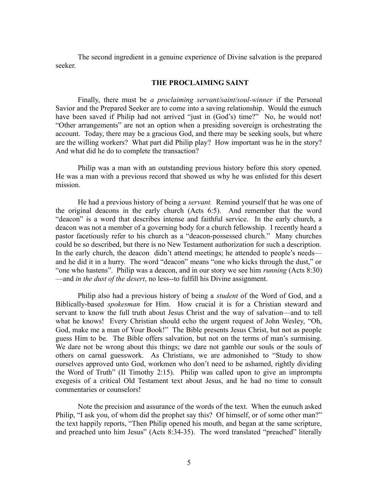The second ingredient in a genuine experience of Divine salvation is the prepared seeker.

### **THE PROCLAIMING SAINT**

Finally, there must be *a proclaiming servant/saint/soul-winner* if the Personal Savior and the Prepared Seeker are to come into a saving relationship. Would the eunuch have been saved if Philip had not arrived "just in (God's) time?" No, he would not! "Other arrangements" are not an option when a presiding sovereign is orchestrating the account. Today, there may be a gracious God, and there may be seeking souls, but where are the willing workers? What part did Philip play? How important was he in the story? And what did he do to complete the transaction?

Philip was a man with an outstanding previous history before this story opened. He was a man with a previous record that showed us why he was enlisted for this desert mission.

He had a previous history of being a *servant.* Remind yourself that he was one of the original deacons in the early church (Acts 6:5). And remember that the word "deacon" is a word that describes intense and faithful service. In the early church, a deacon was not a member of a governing body for a church fellowship. I recently heard a pastor facetiously refer to his church as a "deacon-possessed church." Many churches could be so described, but there is no New Testament authorization for such a description. In the early church, the deacon didn't attend meetings; he attended to people's needs and he did it in a hurry. The word "deacon" means "one who kicks through the dust," or "one who hastens". Philip was a deacon, and in our story we see him *running* (Acts 8:30) —and *in the dust of the desert*, no less--to fulfill his Divine assignment.

Philip also had a previous history of being a *student* of the Word of God, and a Biblically-based *spokesman* for Him. How crucial it is for a Christian steward and servant to know the full truth about Jesus Christ and the way of salvation—and to tell what he knows! Every Christian should echo the urgent request of John Wesley, "Oh, God, make me a man of Your Book!" The Bible presents Jesus Christ, but not as people guess Him to be. The Bible offers salvation, but not on the terms of man's surmising. We dare not be wrong about this things; we dare not gamble our souls or the souls of others on carnal guesswork. As Christians, we are admonished to "Study to show ourselves approved unto God, workmen who don't need to be ashamed, rightly dividing the Word of Truth" (II Timothy 2:15). Philip was called upon to give an impromptu exegesis of a critical Old Testament text about Jesus, and he had no time to consult commentaries or counselors!

Note the precision and assurance of the words of the text. When the eunuch asked Philip, "I ask you, of whom did the prophet say this? Of himself, or of some other man?" the text happily reports, "Then Philip opened his mouth, and began at the same scripture, and preached unto him Jesus" (Acts 8:34-35). The word translated "preached" literally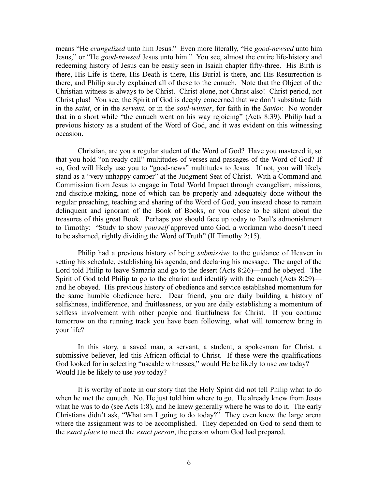means "He *evangelized* unto him Jesus." Even more literally, "He *good-newsed* unto him Jesus," or "He *good-newsed* Jesus unto him." You see, almost the entire life-history and redeeming history of Jesus can be easily seen in Isaiah chapter fifty-three. His Birth is there, His Life is there, His Death is there, His Burial is there, and His Resurrection is there, and Philip surely explained all of these to the eunuch. Note that the Object of the Christian witness is always to be Christ. Christ alone, not Christ also! Christ period, not Christ plus! You see, the Spirit of God is deeply concerned that we don't substitute faith in the *saint*, or in the *servant,* or in the *soul-winner*, for faith in the *Savior.* No wonder that in a short while "the eunuch went on his way rejoicing" (Acts 8:39). Philip had a previous history as a student of the Word of God, and it was evident on this witnessing occasion.

Christian, are you a regular student of the Word of God? Have you mastered it, so that you hold "on ready call" multitudes of verses and passages of the Word of God? If so, God will likely use you to "good-news" multitudes to Jesus. If not, you will likely stand as a "very unhappy camper" at the Judgment Seat of Christ. With a Command and Commission from Jesus to engage in Total World Impact through evangelism, missions, and disciple-making, none of which can be properly and adequately done without the regular preaching, teaching and sharing of the Word of God, you instead chose to remain delinquent and ignorant of the Book of Books, or you chose to be silent about the treasures of this great Book. Perhaps *you* should face up today to Paul's admonishment to Timothy: "Study to show *yourself* approved unto God, a workman who doesn't need to be ashamed, rightly dividing the Word of Truth" (II Timothy 2:15).

Philip had a previous history of being *submissive* to the guidance of Heaven in setting his schedule, establishing his agenda, and declaring his message. The angel of the Lord told Philip to leave Samaria and go to the desert (Acts 8:26)—and he obeyed. The Spirit of God told Philip to go to the chariot and identify with the eunuch (Acts 8:29) and he obeyed. His previous history of obedience and service established momentum for the same humble obedience here. Dear friend, you are daily building a history of selfishness, indifference, and fruitlessness, or you are daily establishing a momentum of selfless involvement with other people and fruitfulness for Christ. If you continue tomorrow on the running track you have been following, what will tomorrow bring in your life?

In this story, a saved man, a servant, a student, a spokesman for Christ, a submissive believer, led this African official to Christ. If these were the qualifications God looked for in selecting "useable witnesses," would He be likely to use *me* today? Would He be likely to use *you* today?

It is worthy of note in our story that the Holy Spirit did not tell Philip what to do when he met the eunuch. No, He just told him where to go. He already knew from Jesus what he was to do (see Acts 1:8), and he knew generally where he was to do it. The early Christians didn't ask, "What am I going to do today?" They even knew the large arena where the assignment was to be accomplished. They depended on God to send them to the *exact place* to meet the *exact person*, the person whom God had prepared.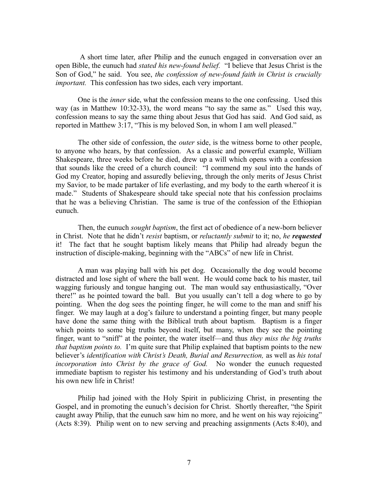A short time later, after Philip and the eunuch engaged in conversation over an open Bible, the eunuch had *stated his new-found belief.* "I believe that Jesus Christ is the Son of God," he said. You see, *the confession of new-found faith in Christ is crucially important.* This confession has two sides, each very important.

One is the *inner* side, what the confession means to the one confessing. Used this way (as in Matthew 10:32-33), the word means "to say the same as." Used this way, confession means to say the same thing about Jesus that God has said. And God said, as reported in Matthew 3:17, "This is my beloved Son, in whom I am well pleased."

The other side of confession, the *outer* side, is the witness borne to other people, to anyone who hears, by that confession. As a classic and powerful example, William Shakespeare, three weeks before he died, drew up a will which opens with a confession that sounds like the creed of a church council: "I commend my soul into the hands of God my Creator, hoping and assuredly believing, through the only merits of Jesus Christ my Savior, to be made partaker of life everlasting, and my body to the earth whereof it is made." Students of Shakespeare should take special note that his confession proclaims that he was a believing Christian. The same is true of the confession of the Ethiopian eunuch.

Then, the eunuch *sought baptism*, the first act of obedience of a new-born believer in Christ. Note that he didn't *resist* baptism, or *reluctantly submit* to it; no, *he requested* it! The fact that he sought baptism likely means that Philip had already begun the instruction of disciple-making, beginning with the "ABCs" of new life in Christ.

A man was playing ball with his pet dog. Occasionally the dog would become distracted and lose sight of where the ball went. He would come back to his master, tail wagging furiously and tongue hanging out. The man would say enthusiastically, "Over there!" as he pointed toward the ball. But you usually can't tell a dog where to go by pointing. When the dog sees the pointing finger, he will come to the man and sniff his finger. We may laugh at a dog's failure to understand a pointing finger, but many people have done the same thing with the Biblical truth about baptism. Baptism is a finger which points to some big truths beyond itself, but many, when they see the pointing finger, want to "sniff" at the pointer, the water itself—and thus *they miss the big truths that baptism points to.* I'm quite sure that Philip explained that baptism points to the new believer's *identification with Christ's Death, Burial and Resurrection,* as well as *his total incorporation into Christ by the grace of God.* No wonder the eunuch requested immediate baptism to register his testimony and his understanding of God's truth about his own new life in Christ!

Philip had joined with the Holy Spirit in publicizing Christ, in presenting the Gospel, and in promoting the eunuch's decision for Christ. Shortly thereafter, "the Spirit caught away Philip, that the eunuch saw him no more, and he went on his way rejoicing" (Acts 8:39). Philip went on to new serving and preaching assignments (Acts 8:40), and